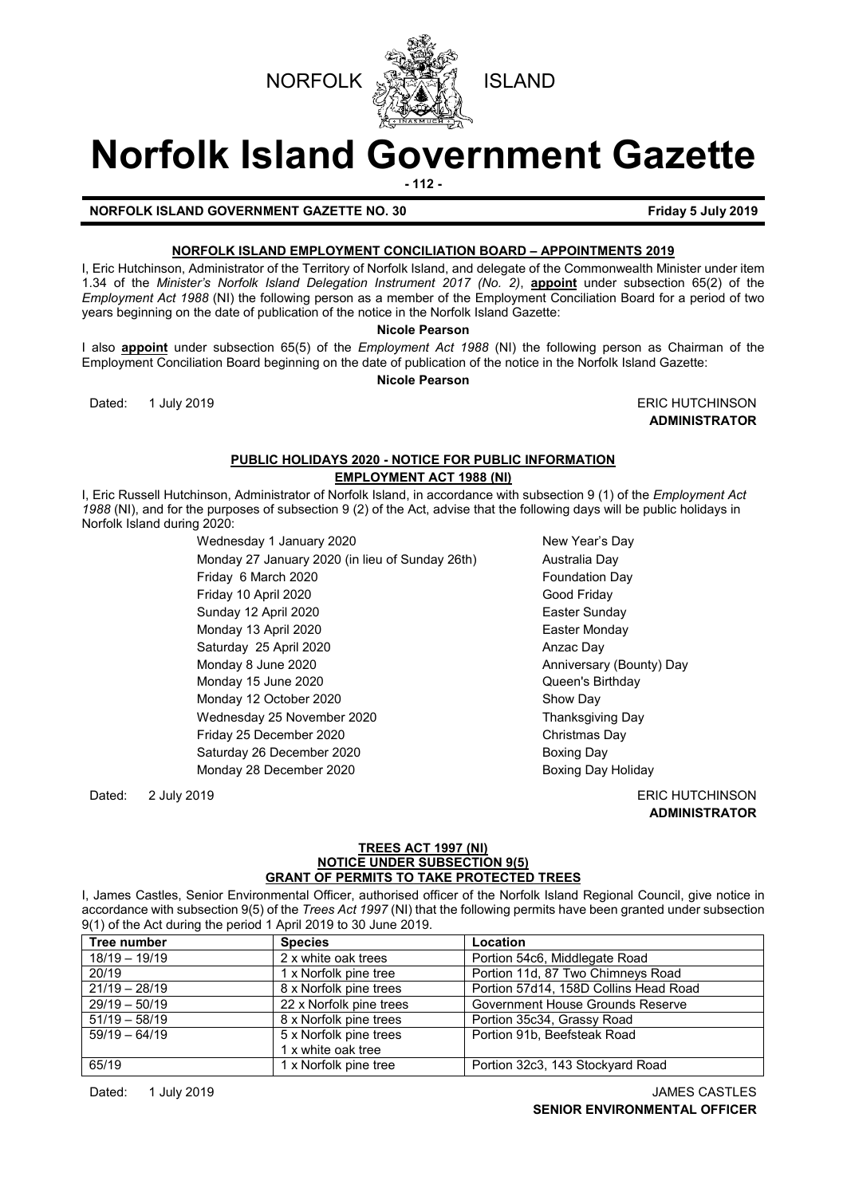



# **Norfolk Island Government Gazette**

**- 112 -**

# **NORFOLK ISLAND GOVERNMENT GAZETTE NO. 30 Friday 5 July 2019**

# **NORFOLK ISLAND EMPLOYMENT CONCILIATION BOARD – APPOINTMENTS 2019**

I, Eric Hutchinson, Administrator of the Territory of Norfolk Island, and delegate of the Commonwealth Minister under item 1.34 of the *Minister's Norfolk Island Delegation Instrument 2017 (No. 2)*, **appoint** under subsection 65(2) of the *Employment Act 1988* (NI) the following person as a member of the Employment Conciliation Board for a period of two years beginning on the date of publication of the notice in the Norfolk Island Gazette:

**Nicole Pearson**

I also **appoint** under subsection 65(5) of the *Employment Act 1988* (NI) the following person as Chairman of the Employment Conciliation Board beginning on the date of publication of the notice in the Norfolk Island Gazette: **Nicole Pearson**

Dated: 1 July 2019 **ERIC HUTCHINSON** 

**ADMINISTRATOR**

# **PUBLIC HOLIDAYS 2020 - NOTICE FOR PUBLIC INFORMATION EMPLOYMENT ACT 1988 (NI)**

I, Eric Russell Hutchinson, Administrator of Norfolk Island, in accordance with subsection 9 (1) of the *Employment Act 1988* (NI), and for the purposes of subsection 9 (2) of the Act, advise that the following days will be public holidays in Norfolk Island during 2020:

Wednesday 1 January 2020 New Year's Day Monday 27 January 2020 (in lieu of Sunday 26th) Australia Day Friday 6 March 2020 **Foundation Day** Friday 10 April 2020 Good Friday Sunday 12 April 2020 **Easter Sunday** Monday 13 April 2020 **Easter Monday** Saturday 25 April 2020 Anzac Day Monday 8 June 2020 **Anniversary (Bounty)** Day Monday 15 June 2020 **Disk and Server Control** Cueen's Birthday Monday 12 October 2020 Show Day Wednesday 25 November 2020 Thanksgiving Day Friday 25 December 2020 Christmas Day Saturday 26 December 2020 Boxing Day Monday 28 December 2020 **Boxing Day Holiday** 

Dated: 2 July 2019 ERIC HUTCHINSON **ADMINISTRATOR**

#### **TREES ACT 1997 (NI) NOTICE UNDER SUBSECTION 9(5) GRANT OF PERMITS TO TAKE PROTECTED TREES**

I, James Castles, Senior Environmental Officer, authorised officer of the Norfolk Island Regional Council, give notice in accordance with subsection 9(5) of the *Trees Act 1997* (NI) that the following permits have been granted under subsection 9(1) of the Act during the period 1 April 2019 to 30 June 2019.

| Tree number     | <b>Species</b>          | Location                              |
|-----------------|-------------------------|---------------------------------------|
| $18/19 - 19/19$ | 2 x white oak trees     | Portion 54c6, Middlegate Road         |
| 20/19           | 1 x Norfolk pine tree   | Portion 11d, 87 Two Chimneys Road     |
| $21/19 - 28/19$ | 8 x Norfolk pine trees  | Portion 57d14, 158D Collins Head Road |
| $29/19 - 50/19$ | 22 x Norfolk pine trees | Government House Grounds Reserve      |
| $51/19 - 58/19$ | 8 x Norfolk pine trees  | Portion 35c34, Grassy Road            |
| $59/19 - 64/19$ | 5 x Norfolk pine trees  | Portion 91b. Beefsteak Road           |
|                 | 1 x white oak tree      |                                       |
| 65/19           | 1 x Norfolk pine tree   | Portion 32c3, 143 Stockyard Road      |

Dated: 1 July 2019 JAMES CASTLES **SENIOR ENVIRONMENTAL OFFICER**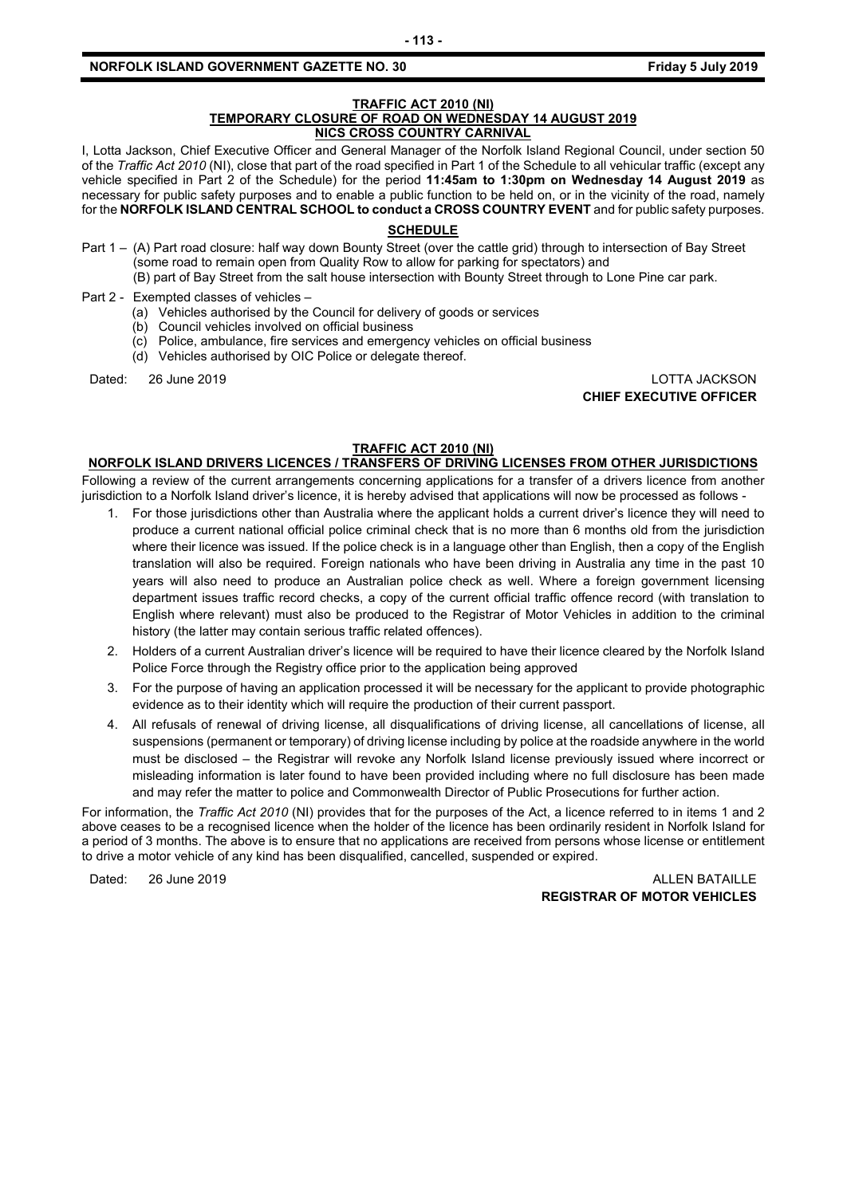#### **TRAFFIC ACT 2010 (NI) TEMPORARY CLOSURE OF ROAD ON WEDNESDAY 14 AUGUST 2019 NICS CROSS COUNTRY CARNIVAL**

I, Lotta Jackson, Chief Executive Officer and General Manager of the Norfolk Island Regional Council, under section 50 of the *Traffic Act 2010* (NI), close that part of the road specified in Part 1 of the Schedule to all vehicular traffic (except any vehicle specified in Part 2 of the Schedule) for the period **11:45am to 1:30pm on Wednesday 14 August 2019** as necessary for public safety purposes and to enable a public function to be held on, or in the vicinity of the road, namely for the **NORFOLK ISLAND CENTRAL SCHOOL to conduct a CROSS COUNTRY EVENT** and for public safety purposes.

#### **SCHEDULE**

Part 1 – (A) Part road closure: half way down Bounty Street (over the cattle grid) through to intersection of Bay Street (some road to remain open from Quality Row to allow for parking for spectators) and (B) part of Bay Street from the salt house intersection with Bounty Street through to Lone Pine car park.

Part 2 - Exempted classes of vehicles –

- (a) Vehicles authorised by the Council for delivery of goods or services
- (b) Council vehicles involved on official business
- (c) Police, ambulance, fire services and emergency vehicles on official business
- (d) Vehicles authorised by OIC Police or delegate thereof.

Dated: 26 June 2019 LOTTA JACKSON **CHIEF EXECUTIVE OFFICER**

#### **TRAFFIC ACT 2010 (NI)**

# **NORFOLK ISLAND DRIVERS LICENCES / TRANSFERS OF DRIVING LICENSES FROM OTHER JURISDICTIONS**

Following a review of the current arrangements concerning applications for a transfer of a drivers licence from another jurisdiction to a Norfolk Island driver's licence, it is hereby advised that applications will now be processed as follows -

- 1. For those jurisdictions other than Australia where the applicant holds a current driver's licence they will need to produce a current national official police criminal check that is no more than 6 months old from the jurisdiction where their licence was issued. If the police check is in a language other than English, then a copy of the English translation will also be required. Foreign nationals who have been driving in Australia any time in the past 10 years will also need to produce an Australian police check as well. Where a foreign government licensing department issues traffic record checks, a copy of the current official traffic offence record (with translation to English where relevant) must also be produced to the Registrar of Motor Vehicles in addition to the criminal history (the latter may contain serious traffic related offences).
- 2. Holders of a current Australian driver's licence will be required to have their licence cleared by the Norfolk Island Police Force through the Registry office prior to the application being approved
- 3. For the purpose of having an application processed it will be necessary for the applicant to provide photographic evidence as to their identity which will require the production of their current passport.
- 4. All refusals of renewal of driving license, all disqualifications of driving license, all cancellations of license, all suspensions (permanent or temporary) of driving license including by police at the roadside anywhere in the world must be disclosed – the Registrar will revoke any Norfolk Island license previously issued where incorrect or misleading information is later found to have been provided including where no full disclosure has been made and may refer the matter to police and Commonwealth Director of Public Prosecutions for further action.

For information, the *Traffic Act 2010* (NI) provides that for the purposes of the Act, a licence referred to in items 1 and 2 above ceases to be a recognised licence when the holder of the licence has been ordinarily resident in Norfolk Island for a period of 3 months. The above is to ensure that no applications are received from persons whose license or entitlement to drive a motor vehicle of any kind has been disqualified, cancelled, suspended or expired.

Dated: 26 June 2019 2008 2019 2012 2013 2014 2015 2020 2021 2022 2032 2040 2052 2053 2062 2072 2083 2094 2095 20 **REGISTRAR OF MOTOR VEHICLES**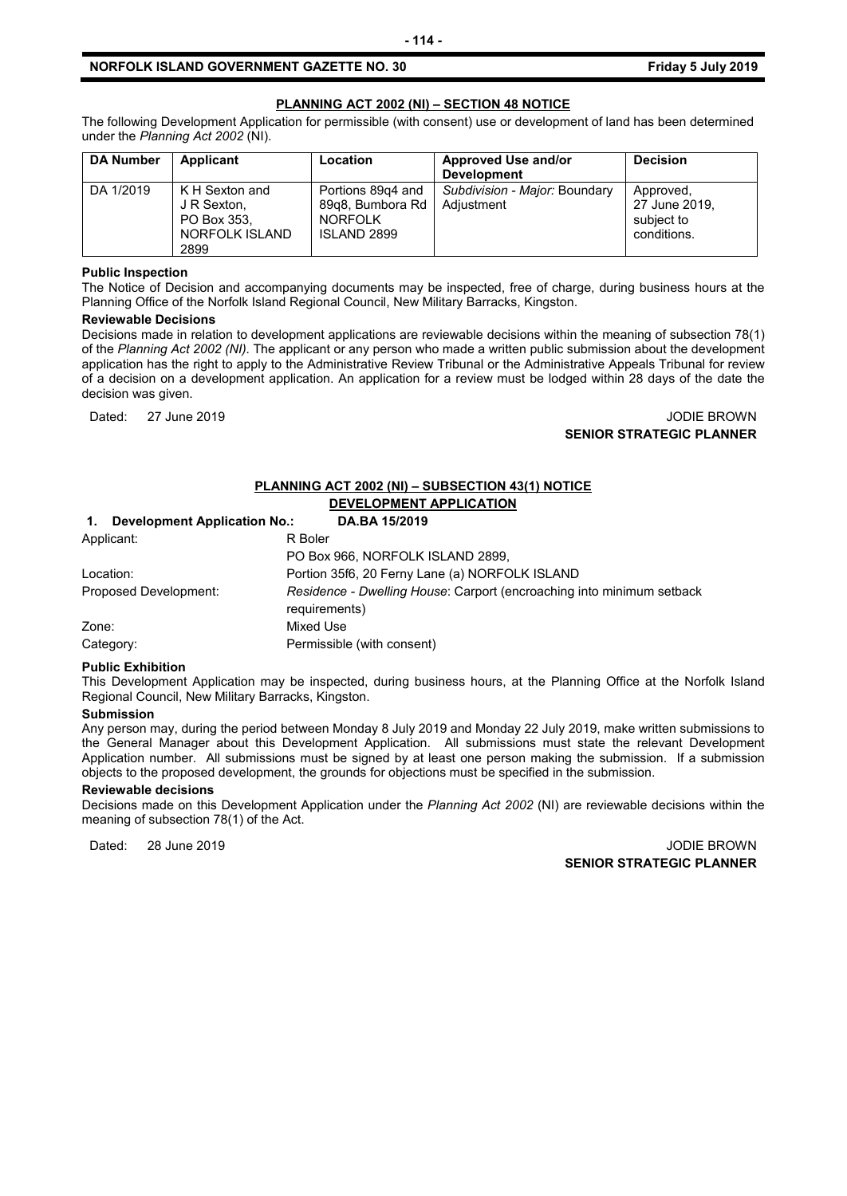### **PLANNING ACT 2002 (NI) – SECTION 48 NOTICE**

The following Development Application for permissible (with consent) use or development of land has been determined under the *Planning Act 2002* (NI).

| <b>DA Number</b> | Applicant                                                              | <b>Location</b>                                                               | <b>Approved Use and/or</b><br><b>Development</b> | <b>Decision</b>                                         |
|------------------|------------------------------------------------------------------------|-------------------------------------------------------------------------------|--------------------------------------------------|---------------------------------------------------------|
| DA 1/2019        | K H Sexton and<br>J R Sexton,<br>PO Box 353.<br>NORFOLK ISLAND<br>2899 | Portions 89g4 and<br>89q8, Bumbora Rd<br><b>NORFOLK</b><br><b>ISLAND 2899</b> | Subdivision - Major: Boundary<br>Adjustment      | Approved,<br>27 June 2019,<br>subject to<br>conditions. |

#### **Public Inspection**

The Notice of Decision and accompanying documents may be inspected, free of charge, during business hours at the Planning Office of the Norfolk Island Regional Council, New Military Barracks, Kingston.

#### **Reviewable Decisions**

Decisions made in relation to development applications are reviewable decisions within the meaning of subsection 78(1) of the *Planning Act 2002 (NI).* The applicant or any person who made a written public submission about the development application has the right to apply to the Administrative Review Tribunal or the Administrative Appeals Tribunal for review of a decision on a development application. An application for a review must be lodged within 28 days of the date the decision was given.

#### Dated: 27 June 2019 JODIE BROWN **SENIOR STRATEGIC PLANNER**

#### **PLANNING ACT 2002 (NI) – SUBSECTION 43(1) NOTICE**

# **DEVELOPMENT APPLICATION**

| <b>Development Application No.:</b><br>1. | DA.BA 15/2019                                                                          |
|-------------------------------------------|----------------------------------------------------------------------------------------|
| Applicant:                                | R Boler                                                                                |
|                                           | PO Box 966, NORFOLK ISLAND 2899,                                                       |
| Location:                                 | Portion 35f6, 20 Ferny Lane (a) NORFOLK ISLAND                                         |
| Proposed Development:                     | Residence - Dwelling House: Carport (encroaching into minimum setback<br>requirements) |
| Zone:                                     | Mixed Use                                                                              |
| Category:                                 | Permissible (with consent)                                                             |

#### **Public Exhibition**

This Development Application may be inspected, during business hours, at the Planning Office at the Norfolk Island Regional Council, New Military Barracks, Kingston.

#### **Submission**

Any person may, during the period between Monday 8 July 2019 and Monday 22 July 2019, make written submissions to the General Manager about this Development Application. All submissions must state the relevant Development Application number. All submissions must be signed by at least one person making the submission. If a submission objects to the proposed development, the grounds for objections must be specified in the submission.

#### **Reviewable decisions**

Decisions made on this Development Application under the *Planning Act 2002* (NI) are reviewable decisions within the meaning of subsection 78(1) of the Act.

Dated: 28 June 2019 JODIE BROWN

**SENIOR STRATEGIC PLANNER**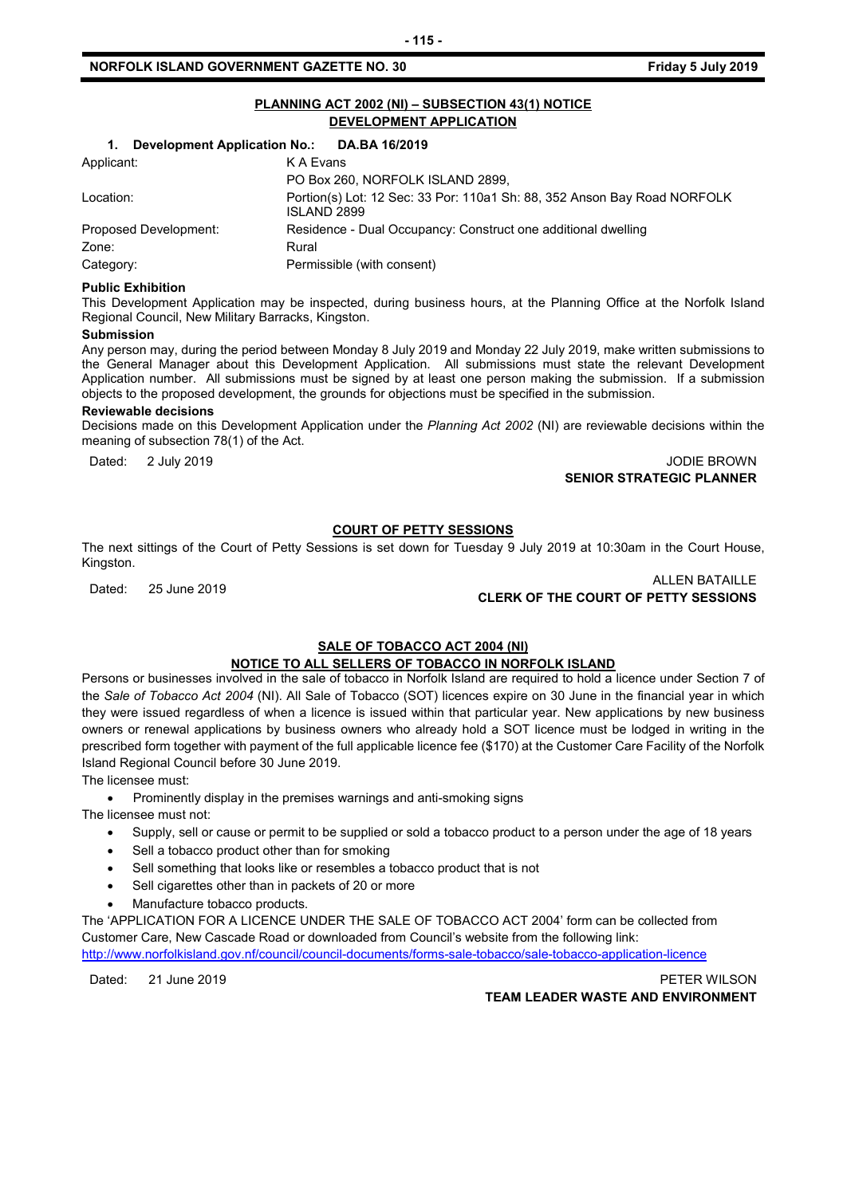# **PLANNING ACT 2002 (NI) – SUBSECTION 43(1) NOTICE DEVELOPMENT APPLICATION**

| Development Application No.: DA.BA 16/2019<br>1. |                                                                                                |  |
|--------------------------------------------------|------------------------------------------------------------------------------------------------|--|
| Applicant:                                       | K A Evans                                                                                      |  |
|                                                  | PO Box 260, NORFOLK ISLAND 2899,                                                               |  |
| Location:                                        | Portion(s) Lot: 12 Sec: 33 Por: 110a1 Sh: 88, 352 Anson Bay Road NORFOLK<br><b>ISLAND 2899</b> |  |
| Proposed Development:                            | Residence - Dual Occupancy: Construct one additional dwelling                                  |  |
| Zone:                                            | Rural                                                                                          |  |
| Category:                                        | Permissible (with consent)                                                                     |  |

#### **Public Exhibition**

This Development Application may be inspected, during business hours, at the Planning Office at the Norfolk Island Regional Council, New Military Barracks, Kingston.

#### **Submission**

Any person may, during the period between Monday 8 July 2019 and Monday 22 July 2019, make written submissions to the General Manager about this Development Application. All submissions must state the relevant Development Application number. All submissions must be signed by at least one person making the submission. If a submission objects to the proposed development, the grounds for objections must be specified in the submission.

#### **Reviewable decisions**

Decisions made on this Development Application under the *Planning Act 2002* (NI) are reviewable decisions within the meaning of subsection 78(1) of the Act.

Dated: 2 July 2019 JODIE BROWN **SENIOR STRATEGIC PLANNER** 

#### **COURT OF PETTY SESSIONS**

The next sittings of the Court of Petty Sessions is set down for Tuesday 9 July 2019 at 10:30am in the Court House, Kingston.

# ALLEN BATAILLE<br>CLERK OF THE COURT OF PETTY SESSIONS CLERK OF THE COURT OF PETTY SESSIONS

# **SALE OF TOBACCO ACT 2004 (NI)**

#### **NOTICE TO ALL SELLERS OF TOBACCO IN NORFOLK ISLAND**

Persons or businesses involved in the sale of tobacco in Norfolk Island are required to hold a licence under Section 7 of the *Sale of Tobacco Act 2004* (NI). All Sale of Tobacco (SOT) licences expire on 30 June in the financial year in which they were issued regardless of when a licence is issued within that particular year. New applications by new business owners or renewal applications by business owners who already hold a SOT licence must be lodged in writing in the prescribed form together with payment of the full applicable licence fee (\$170) at the Customer Care Facility of the Norfolk Island Regional Council before 30 June 2019.

The licensee must:

• Prominently display in the premises warnings and anti-smoking signs

The licensee must not:

- Supply, sell or cause or permit to be supplied or sold a tobacco product to a person under the age of 18 years
- Sell a tobacco product other than for smoking
- Sell something that looks like or resembles a tobacco product that is not
- Sell cigarettes other than in packets of 20 or more
- Manufacture tobacco products.

The 'APPLICATION FOR A LICENCE UNDER THE SALE OF TOBACCO ACT 2004' form can be collected from Customer Care, New Cascade Road or downloaded from Council's website from the following link: <http://www.norfolkisland.gov.nf/council/council-documents/forms-sale-tobacco/sale-tobacco-application-licence>

Dated: 21 June 2019 PETER WILSON **TEAM LEADER WASTE AND ENVIRONMENT**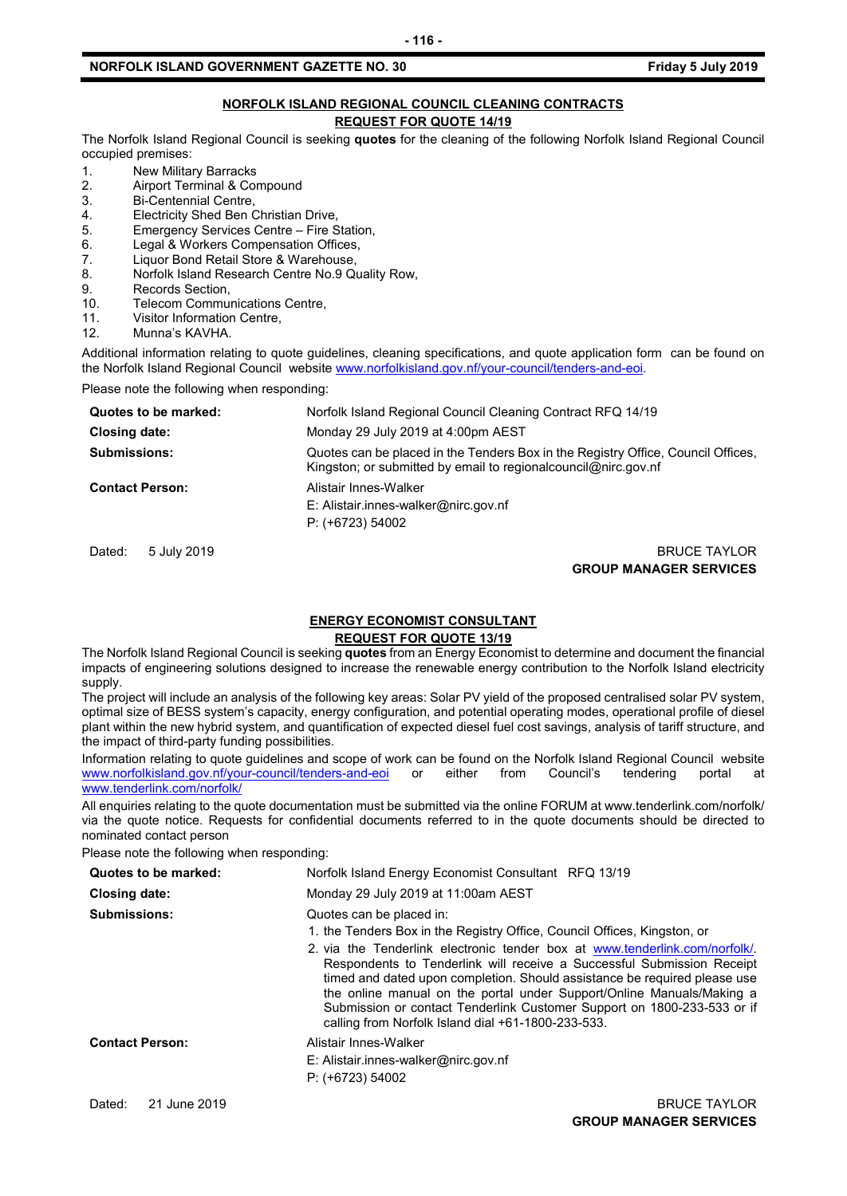#### **NORFOLK ISLAND REGIONAL COUNCIL CLEANING CONTRACTS REQUEST FOR QUOTE 14/19**

The Norfolk Island Regional Council is seeking **quotes** for the cleaning of the following Norfolk Island Regional Council occupied premises:

- 1. New Military Barracks<br>2. Airport Terminal & Co
- 2. Airport Terminal & Compound<br>3. Bi-Centennial Centre.
- Bi-Centennial Centre.
- 4. Electricity Shed Ben Christian Drive,<br>5. Emergency Services Centre Fire S
- 5. Emergency Services Centre Fire Station,<br>6. Legal & Workers Compensation Offices
- 6. Legal & Workers Compensation Offices,<br>7 Liquor Bond Retail Store & Warehouse
- 7. Liquor Bond Retail Store & Warehouse,<br>8. Norfolk Island Research Centre No.9 Qu
- Norfolk Island Research Centre No.9 Quality Row,
- 9. Records Section,<br>10. Telecom Commu
- 10. Telecom Communications Centre,<br>11 Visitor Information Centre
- 11. Visitor Information Centre,<br>12. Munna's KAVHA
- Munna's KAVHA

Additional information relating to quote guidelines, cleaning specifications, and quote application form can be found on the Norfolk Island Regional Council website [www.norfolkisland.gov.nf/your-council/tenders-and-eoi.](http://www.norfolkisland.gov.nf/your-council/tenders-and-eoi)

Please note the following when responding:

| Quotes to be marked:   | Norfolk Island Regional Council Cleaning Contract RFQ 14/19                                                                                          |
|------------------------|------------------------------------------------------------------------------------------------------------------------------------------------------|
| Closing date:          | Monday 29 July 2019 at 4:00pm AEST                                                                                                                   |
| <b>Submissions:</b>    | Quotes can be placed in the Tenders Box in the Registry Office, Council Offices,<br>Kingston; or submitted by email to regional council @nirc.gov.nf |
| <b>Contact Person:</b> | Alistair Innes-Walker<br>E: Alistair.innes-walker@nirc.gov.nf<br>$P: (+6723) 54002$                                                                  |
|                        |                                                                                                                                                      |

#### Dated: 5 July 2019 BRUCE TAYLOR **GROUP MANAGER SERVICES**

# **ENERGY ECONOMIST CONSULTANT**

# **REQUEST FOR QUOTE 13/19**

The Norfolk Island Regional Council is seeking **quotes** from an Energy Economist to determine and document the financial impacts of engineering solutions designed to increase the renewable energy contribution to the Norfolk Island electricity supply.

The project will include an analysis of the following key areas: Solar PV yield of the proposed centralised solar PV system, optimal size of BESS system's capacity, energy configuration, and potential operating modes, operational profile of diesel plant within the new hybrid system, and quantification of expected diesel fuel cost savings, analysis of tariff structure, and the impact of third-party funding possibilities.

Information relating to quote guidelines and scope of work can be found on the Norfolk Island Regional Council website [www.norfolkisland.gov.nf/your-council/tenders-and-eoi](http://www.norfolkisland.gov.nf/your-council/tenders-and-eoi) or either from Council's tendering portal at [www.tenderlink.com/norfolk/](http://www.tenderlink.com/norfolk/)

All enquiries relating to the quote documentation must be submitted via the online FORUM at www.tenderlink.com/norfolk/ via the quote notice. Requests for confidential documents referred to in the quote documents should be directed to nominated contact person

Please note the following when responding:

| Quotes to be marked:   | Norfolk Island Energy Economist Consultant RFQ 13/19                                                                                                                                                                                                                                                                                                                                                                                                                                                                                                |  |
|------------------------|-----------------------------------------------------------------------------------------------------------------------------------------------------------------------------------------------------------------------------------------------------------------------------------------------------------------------------------------------------------------------------------------------------------------------------------------------------------------------------------------------------------------------------------------------------|--|
| Closing date:          | Monday 29 July 2019 at 11:00am AEST                                                                                                                                                                                                                                                                                                                                                                                                                                                                                                                 |  |
| <b>Submissions:</b>    | Quotes can be placed in:<br>1. the Tenders Box in the Registry Office, Council Offices, Kingston, or<br>2. via the Tenderlink electronic tender box at www.tenderlink.com/norfolk/<br>Respondents to Tenderlink will receive a Successful Submission Receipt<br>timed and dated upon completion. Should assistance be required please use<br>the online manual on the portal under Support/Online Manuals/Making a<br>Submission or contact Tenderlink Customer Support on 1800-233-533 or if<br>calling from Norfolk Island dial +61-1800-233-533. |  |
| <b>Contact Person:</b> | Alistair Innes-Walker<br>E: Alistair.innes-walker@nirc.gov.nf<br>$P: (+6723) 54002$                                                                                                                                                                                                                                                                                                                                                                                                                                                                 |  |
| Dated:<br>21 June 2019 | <b>BRUCE TAYLOR</b>                                                                                                                                                                                                                                                                                                                                                                                                                                                                                                                                 |  |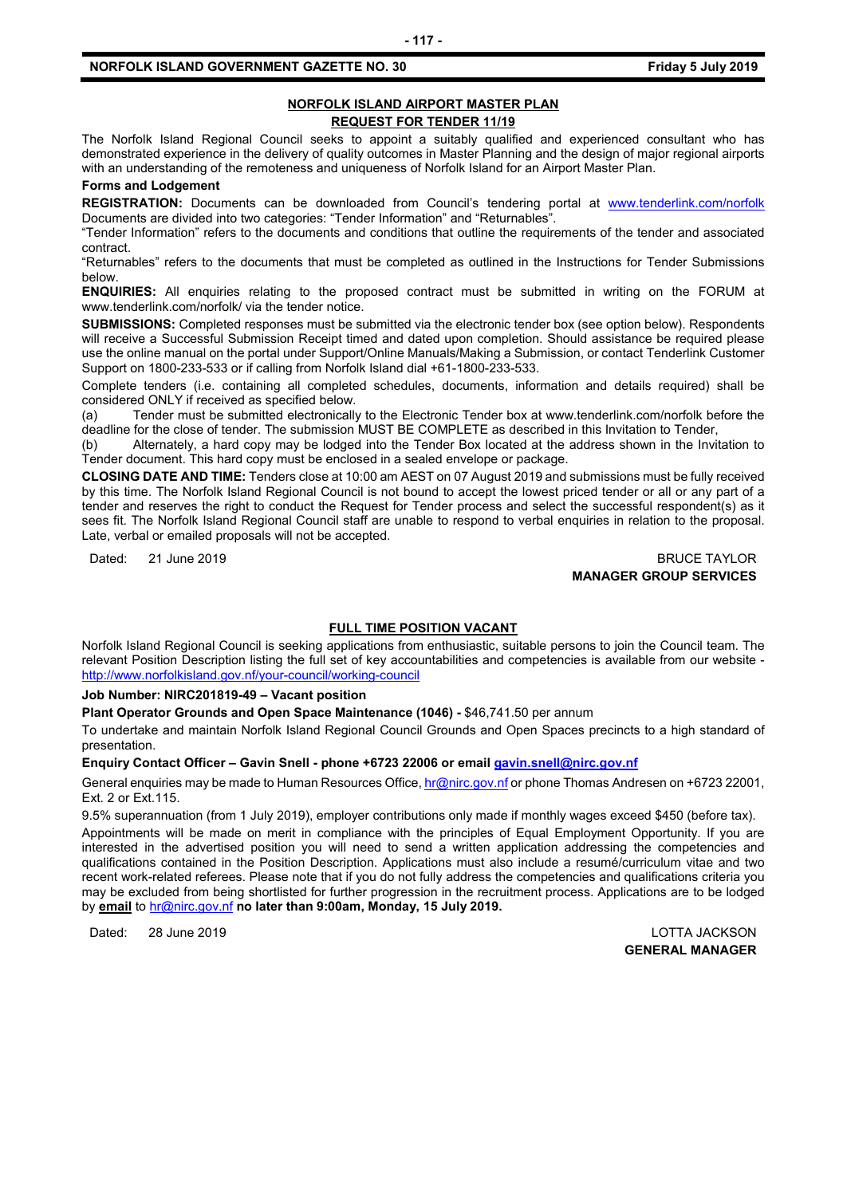# **NORFOLK ISLAND AIRPORT MASTER PLAN REQUEST FOR TENDER 11/19**

The Norfolk Island Regional Council seeks to appoint a suitably qualified and experienced consultant who has demonstrated experience in the delivery of quality outcomes in Master Planning and the design of major regional airports with an understanding of the remoteness and uniqueness of Norfolk Island for an Airport Master Plan.

# **Forms and Lodgement**

**REGISTRATION:** Documents can be downloaded from Council's tendering portal at [www.tenderlink.com/norfolk](http://www.tenderlink.com/norfolk) Documents are divided into two categories: "Tender Information" and "Returnables".

"Tender Information" refers to the documents and conditions that outline the requirements of the tender and associated contract.

"Returnables" refers to the documents that must be completed as outlined in the Instructions for Tender Submissions below.

**ENQUIRIES:** All enquiries relating to the proposed contract must be submitted in writing on the FORUM at www.tenderlink.com/norfolk/ via the tender notice.

**SUBMISSIONS:** Completed responses must be submitted via the electronic tender box (see option below). Respondents will receive a Successful Submission Receipt timed and dated upon completion. Should assistance be required please use the online manual on the portal under Support/Online Manuals/Making a Submission, or contact Tenderlink Customer Support on 1800-233-533 or if calling from Norfolk Island dial +61-1800-233-533.

Complete tenders (i.e. containing all completed schedules, documents, information and details required) shall be considered ONLY if received as specified below.

(a) Tender must be submitted electronically to the Electronic Tender box at www.tenderlink.com/norfolk before the deadline for the close of tender. The submission MUST BE COMPLETE as described in this Invitation to Tender,

(b) Alternately, a hard copy may be lodged into the Tender Box located at the address shown in the Invitation to Tender document. This hard copy must be enclosed in a sealed envelope or package.

**CLOSING DATE AND TIME:** Tenders close at 10:00 am AEST on 07 August 2019 and submissions must be fully received by this time. The Norfolk Island Regional Council is not bound to accept the lowest priced tender or all or any part of a tender and reserves the right to conduct the Request for Tender process and select the successful respondent(s) as it sees fit. The Norfolk Island Regional Council staff are unable to respond to verbal enquiries in relation to the proposal. Late, verbal or emailed proposals will not be accepted.

Dated: 21 June 2019 BRUCE TAYLOR **MANAGER GROUP SERVICES**

## **FULL TIME POSITION VACANT**

Norfolk Island Regional Council is seeking applications from enthusiastic, suitable persons to join the Council team. The relevant Position Description listing the full set of key accountabilities and competencies is available from our website <http://www.norfolkisland.gov.nf/your-council/working-council>

**Job Number: NIRC201819-49 – Vacant position**

**Plant Operator Grounds and Open Space Maintenance (1046) -** \$46,741.50 per annum

To undertake and maintain Norfolk Island Regional Council Grounds and Open Spaces precincts to a high standard of presentation.

#### **Enquiry Contact Officer – Gavin Snell - phone +6723 22006 or emai[l gavin.snell@nirc.gov.nf](mailto:gavin.snell@nirc.gov.nf)**

General enquiries may be made to Human Resources Office[, hr@nirc.gov.nf](mailto:hr@nirc.gov.nf) or phone Thomas Andresen on +6723 22001, Ext. 2 or Ext.115.

9.5% superannuation (from 1 July 2019), employer contributions only made if monthly wages exceed \$450 (before tax). Appointments will be made on merit in compliance with the principles of Equal Employment Opportunity. If you are interested in the advertised position you will need to send a written application addressing the competencies and qualifications contained in the Position Description. Applications must also include a resumé/curriculum vitae and two recent work-related referees. Please note that if you do not fully address the competencies and qualifications criteria you may be excluded from being shortlisted for further progression in the recruitment process. Applications are to be lodged by **email** to [hr@nirc.gov.nf](mailto:hr@nirc.gov.nf) **no later than 9:00am, Monday, 15 July 2019.** 

Dated: 28 June 2019 LOTTA JACKSON

**GENERAL MANAGER**